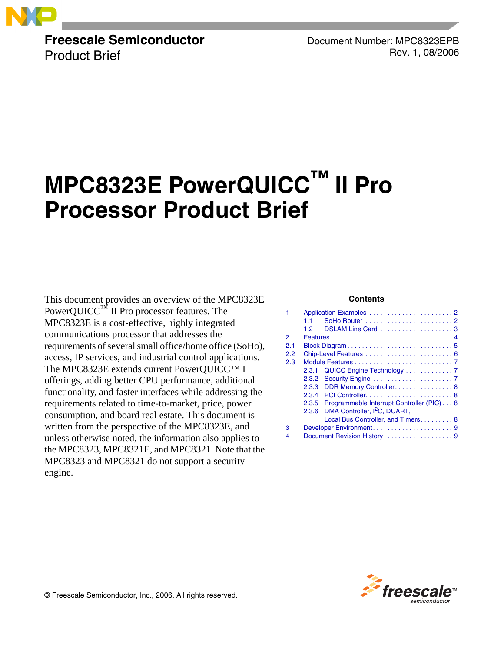

**Freescale Semiconductor** Product Brief

Document Number: MPC8323EPB Rev. 1, 08/2006

# **MPC8323E PowerQUICC™ II Pro Processor Product Brief**

This document provides an overview of the MPC8323E PowerQUICC $^{TM}$  II Pro processor features. The MPC8323E is a cost-effective, highly integrated communications processor that addresses the requirements of several small office/home office (SoHo), access, IP services, and industrial control applications. The MPC8323E extends current PowerQUICC™ I offerings, adding better CPU performance, additional functionality, and faster interfaces while addressing the requirements related to time-to-market, price, power consumption, and board real estate. This document is written from the perspective of the MPC8323E, and unless otherwise noted, the information also applies to the MPC8323, MPC8321E, and MPC8321. Note that the MPC8323 and MPC8321 do not support a security engine.

#### **Contents**

| 1   |                             |                                          |  |
|-----|-----------------------------|------------------------------------------|--|
|     | 1.1                         |                                          |  |
|     | 1.2 <sub>1</sub>            | DSLAM Line Card 3                        |  |
| 2   |                             |                                          |  |
| 2.1 |                             |                                          |  |
| 2.2 |                             |                                          |  |
| 2.3 |                             |                                          |  |
|     | 2.3.1                       | QUICC Engine Technology  7               |  |
|     | 2.3.2                       |                                          |  |
|     | 2.3.3                       | DDR Memory Controller 8                  |  |
|     | 2.3.4                       |                                          |  |
|     | 2.3.5                       | Programmable Interrupt Controller (PIC)8 |  |
|     | 2.3.6                       | DMA Controller, I <sup>2</sup> C, DUART, |  |
|     |                             | Local Bus Controller, and Timers. 8      |  |
| з   | Developer Environment9      |                                          |  |
| 4   | Document Revision History 9 |                                          |  |



© Freescale Semiconductor, Inc., 2006. All rights reserved.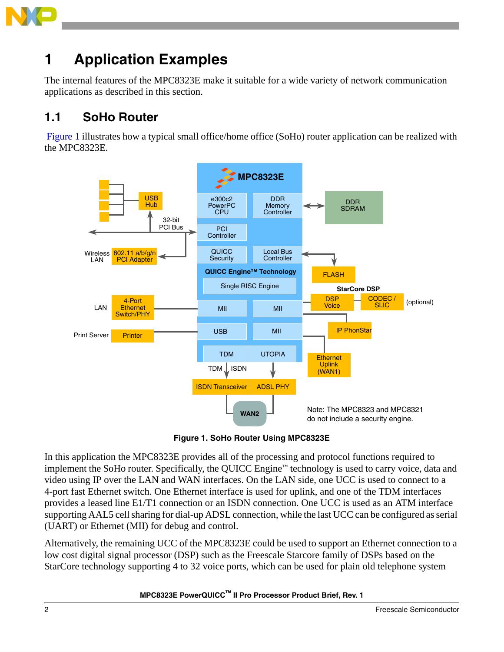

## <span id="page-1-0"></span>**1 Application Examples**

The internal features of the MPC8323E make it suitable for a wide variety of network communication applications as described in this section.

### <span id="page-1-1"></span>**1.1 SoHo Router**

[Figure 1](#page-1-2) illustrates how a typical small office/home office (SoHo) router application can be realized with the MPC8323E.



**Figure 1. SoHo Router Using MPC8323E**

<span id="page-1-2"></span>In this application the MPC8323E provides all of the processing and protocol functions required to implement the SoHo router. Specifically, the QUICC Engine™ technology is used to carry voice, data and video using IP over the LAN and WAN interfaces. On the LAN side, one UCC is used to connect to a 4-port fast Ethernet switch. One Ethernet interface is used for uplink, and one of the TDM interfaces provides a leased line E1/T1 connection or an ISDN connection. One UCC is used as an ATM interface supporting AAL5 cell sharing for dial-up ADSL connection, while the last UCC can be configured as serial (UART) or Ethernet (MII) for debug and control.

Alternatively, the remaining UCC of the MPC8323E could be used to support an Ethernet connection to a low cost digital signal processor (DSP) such as the Freescale Starcore family of DSPs based on the StarCore technology supporting 4 to 32 voice ports, which can be used for plain old telephone system

**MPC8323E PowerQUICC™ II Pro Processor Product Brief, Rev. 1**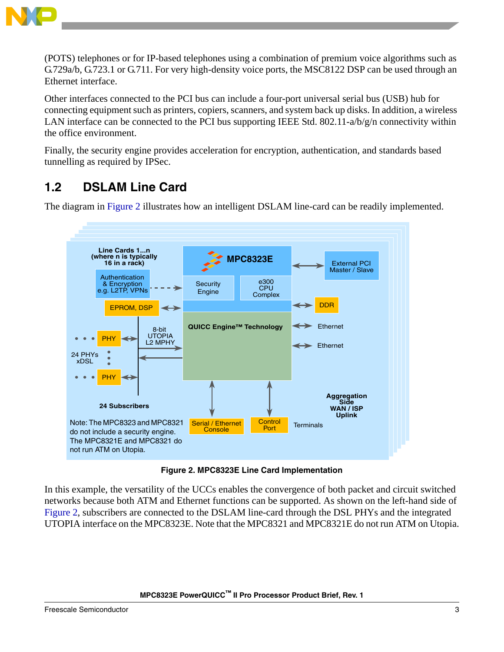

(POTS) telephones or for IP-based telephones using a combination of premium voice algorithms such as G.729a/b, G.723.1 or G.711. For very high-density voice ports, the MSC8122 DSP can be used through an Ethernet interface.

Other interfaces connected to the PCI bus can include a four-port universal serial bus (USB) hub for connecting equipment such as printers, copiers, scanners, and system back up disks. In addition, a wireless LAN interface can be connected to the PCI bus supporting IEEE Std. 802.11-a/b/g/n connectivity within the office environment.

Finally, the security engine provides acceleration for encryption, authentication, and standards based tunnelling as required by IPSec.

### <span id="page-2-0"></span>**1.2 DSLAM Line Card**

The diagram in [Figure 2](#page-2-1) illustrates how an intelligent DSLAM line-card can be readily implemented.



**Figure 2. MPC8323E Line Card Implementation**

<span id="page-2-1"></span>In this example, the versatility of the UCCs enables the convergence of both packet and circuit switched networks because both ATM and Ethernet functions can be supported. As shown on the left-hand side of [Figure 2](#page-2-1), subscribers are connected to the DSLAM line-card through the DSL PHYs and the integrated UTOPIA interface on the MPC8323E. Note that the MPC8321 and MPC8321E do not run ATM on Utopia.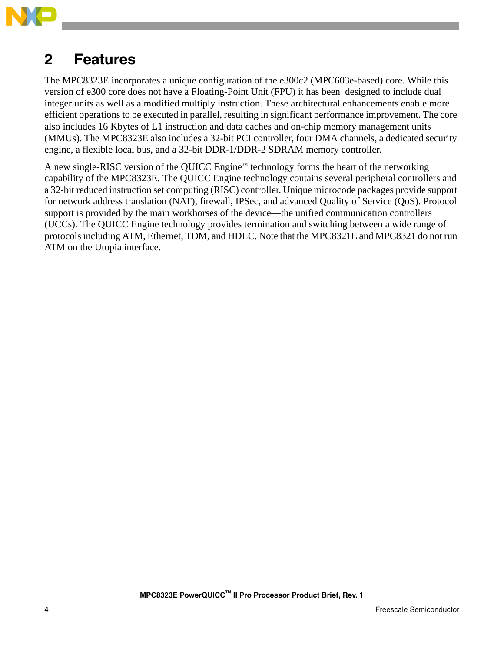

## <span id="page-3-0"></span>**2 Features**

The MPC8323E incorporates a unique configuration of the e300c2 (MPC603e-based) core. While this version of e300 core does not have a Floating-Point Unit (FPU) it has been designed to include dual integer units as well as a modified multiply instruction. These architectural enhancements enable more efficient operations to be executed in parallel, resulting in significant performance improvement. The core also includes 16 Kbytes of L1 instruction and data caches and on-chip memory management units (MMUs). The MPC8323E also includes a 32-bit PCI controller, four DMA channels, a dedicated security engine, a flexible local bus, and a 32-bit DDR-1/DDR-2 SDRAM memory controller.

A new single-RISC version of the QUICC Engine™ technology forms the heart of the networking capability of the MPC8323E. The QUICC Engine technology contains several peripheral controllers and a 32-bit reduced instruction set computing (RISC) controller. Unique microcode packages provide support for network address translation (NAT), firewall, IPSec, and advanced Quality of Service (QoS). Protocol support is provided by the main workhorses of the device—the unified communication controllers (UCCs). The QUICC Engine technology provides termination and switching between a wide range of protocols including ATM, Ethernet, TDM, and HDLC. Note that the MPC8321E and MPC8321 do not run ATM on the Utopia interface.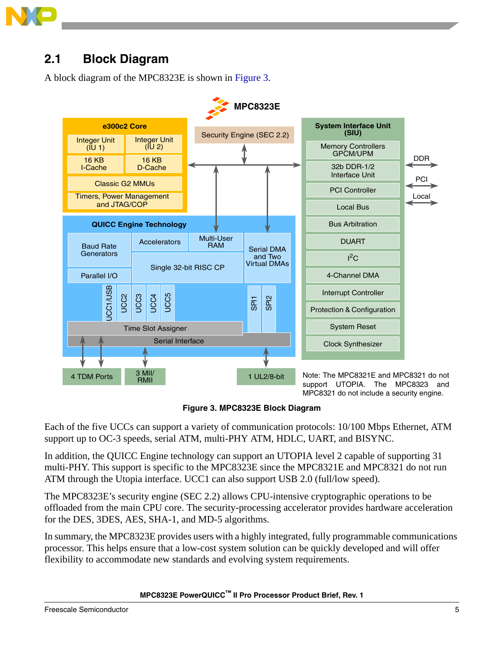

### <span id="page-4-0"></span>**2.1 Block Diagram**

A block diagram of the MPC8323E is shown in [Figure 3.](#page-4-1)



**Figure 3. MPC8323E Block Diagram**

<span id="page-4-1"></span>Each of the five UCCs can support a variety of communication protocols: 10/100 Mbps Ethernet, ATM support up to OC-3 speeds, serial ATM, multi-PHY ATM, HDLC, UART, and BISYNC.

In addition, the QUICC Engine technology can support an UTOPIA level 2 capable of supporting 31 multi-PHY. This support is specific to the MPC8323E since the MPC8321E and MPC8321 do not run ATM through the Utopia interface. UCC1 can also support USB 2.0 (full/low speed).

The MPC8323E's security engine (SEC 2.2) allows CPU-intensive cryptographic operations to be offloaded from the main CPU core. The security-processing accelerator provides hardware acceleration for the DES, 3DES, AES, SHA-1, and MD-5 algorithms.

In summary, the MPC8323E provides users with a highly integrated, fully programmable communications processor. This helps ensure that a low-cost system solution can be quickly developed and will offer flexibility to accommodate new standards and evolving system requirements.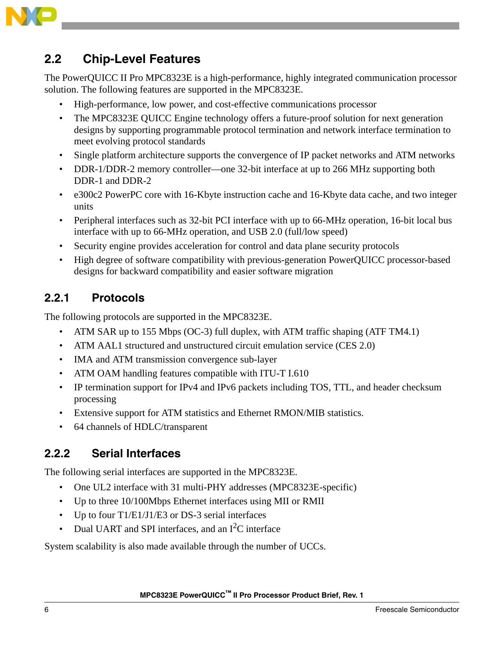

### <span id="page-5-0"></span>**2.2 Chip-Level Features**

The PowerQUICC II Pro MPC8323E is a high-performance, highly integrated communication processor solution. The following features are supported in the MPC8323E.

- High-performance, low power, and cost-effective communications processor
- The MPC8323E QUICC Engine technology offers a future-proof solution for next generation designs by supporting programmable protocol termination and network interface termination to meet evolving protocol standards
- Single platform architecture supports the convergence of IP packet networks and ATM networks
- DDR-1/DDR-2 memory controller—one 32-bit interface at up to 266 MHz supporting both DDR-1 and DDR-2
- e300c2 PowerPC core with 16-Kbyte instruction cache and 16-Kbyte data cache, and two integer units
- Peripheral interfaces such as 32-bit PCI interface with up to 66-MHz operation, 16-bit local bus interface with up to 66-MHz operation, and USB 2.0 (full/low speed)
- Security engine provides acceleration for control and data plane security protocols
- High degree of software compatibility with previous-generation PowerQUICC processor-based designs for backward compatibility and easier software migration

#### **2.2.1 Protocols**

The following protocols are supported in the MPC8323E.

- ATM SAR up to 155 Mbps (OC-3) full duplex, with ATM traffic shaping (ATF TM4.1)
- ATM AAL1 structured and unstructured circuit emulation service (CES 2.0)
- IMA and ATM transmission convergence sub-layer
- ATM OAM handling features compatible with ITU-T I.610
- IP termination support for IPv4 and IPv6 packets including TOS, TTL, and header checksum processing
- Extensive support for ATM statistics and Ethernet RMON/MIB statistics.
- 64 channels of HDLC/transparent

#### **2.2.2 Serial Interfaces**

The following serial interfaces are supported in the MPC8323E.

- One UL2 interface with 31 multi-PHY addresses (MPC8323E-specific)
- Up to three 10/100Mbps Ethernet interfaces using MII or RMII
- Up to four  $T1/E1/J1/E3$  or DS-3 serial interfaces
- Dual UART and SPI interfaces, and an  $I<sup>2</sup>C$  interface

System scalability is also made available through the number of UCCs.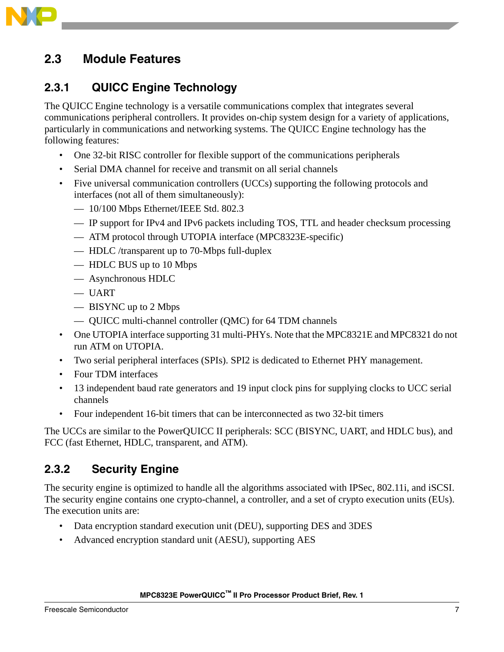

### <span id="page-6-0"></span>**2.3 Module Features**

#### <span id="page-6-1"></span>**2.3.1 QUICC Engine Technology**

The QUICC Engine technology is a versatile communications complex that integrates several communications peripheral controllers. It provides on-chip system design for a variety of applications, particularly in communications and networking systems. The QUICC Engine technology has the following features:

- One 32-bit RISC controller for flexible support of the communications peripherals
- Serial DMA channel for receive and transmit on all serial channels
- Five universal communication controllers (UCCs) supporting the following protocols and interfaces (not all of them simultaneously):
	- 10/100 Mbps Ethernet/IEEE Std. 802.3
	- IP support for IPv4 and IPv6 packets including TOS, TTL and header checksum processing
	- ATM protocol through UTOPIA interface (MPC8323E-specific)
	- HDLC /transparent up to 70-Mbps full-duplex
	- HDLC BUS up to 10 Mbps
	- Asynchronous HDLC
	- UART
	- BISYNC up to 2 Mbps
	- QUICC multi-channel controller (QMC) for 64 TDM channels
- One UTOPIA interface supporting 31 multi-PHYs. Note that the MPC8321E and MPC8321 do not run ATM on UTOPIA.
- Two serial peripheral interfaces (SPIs). SPI2 is dedicated to Ethernet PHY management.
- Four TDM interfaces
- 13 independent baud rate generators and 19 input clock pins for supplying clocks to UCC serial channels
- Four independent 16-bit timers that can be interconnected as two 32-bit timers

The UCCs are similar to the PowerQUICC II peripherals: SCC (BISYNC, UART, and HDLC bus), and FCC (fast Ethernet, HDLC, transparent, and ATM).

#### <span id="page-6-2"></span>**2.3.2 Security Engine**

The security engine is optimized to handle all the algorithms associated with IPSec, 802.11i, and iSCSI. The security engine contains one crypto-channel, a controller, and a set of crypto execution units (EUs). The execution units are:

- Data encryption standard execution unit (DEU), supporting DES and 3DES
- Advanced encryption standard unit (AESU), supporting AES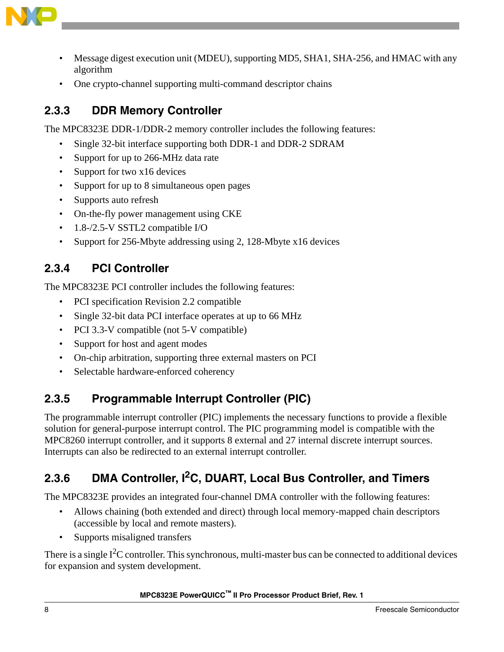

- Message digest execution unit (MDEU), supporting MD5, SHA1, SHA-256, and HMAC with any algorithm
- One crypto-channel supporting multi-command descriptor chains

### <span id="page-7-0"></span>**2.3.3 DDR Memory Controller**

The MPC8323E DDR-1/DDR-2 memory controller includes the following features:

- Single 32-bit interface supporting both DDR-1 and DDR-2 SDRAM
- Support for up to 266-MHz data rate
- Support for two x16 devices
- Support for up to 8 simultaneous open pages
- Supports auto refresh
- On-the-fly power management using CKE
- 1.8-/2.5-V SSTL2 compatible I/O
- Support for 256-Mbyte addressing using 2, 128-Mbyte x16 devices

#### <span id="page-7-1"></span>**2.3.4 PCI Controller**

The MPC8323E PCI controller includes the following features:

- PCI specification Revision 2.2 compatible
- Single 32-bit data PCI interface operates at up to 66 MHz
- PCI 3.3-V compatible (not 5-V compatible)
- Support for host and agent modes
- On-chip arbitration, supporting three external masters on PCI
- Selectable hardware-enforced coherency

#### <span id="page-7-2"></span>**2.3.5 Programmable Interrupt Controller (PIC)**

The programmable interrupt controller (PIC) implements the necessary functions to provide a flexible solution for general-purpose interrupt control. The PIC programming model is compatible with the MPC8260 interrupt controller, and it supports 8 external and 27 internal discrete interrupt sources. Interrupts can also be redirected to an external interrupt controller.

### <span id="page-7-3"></span>**2.3.6 DMA Controller, I2C, DUART, Local Bus Controller, and Timers**

The MPC8323E provides an integrated four-channel DMA controller with the following features:

- Allows chaining (both extended and direct) through local memory-mapped chain descriptors (accessible by local and remote masters).
- Supports misaligned transfers

There is a single  $I^2C$  controller. This synchronous, multi-master bus can be connected to additional devices for expansion and system development.

#### **MPC8323E PowerQUICC™ II Pro Processor Product Brief, Rev. 1**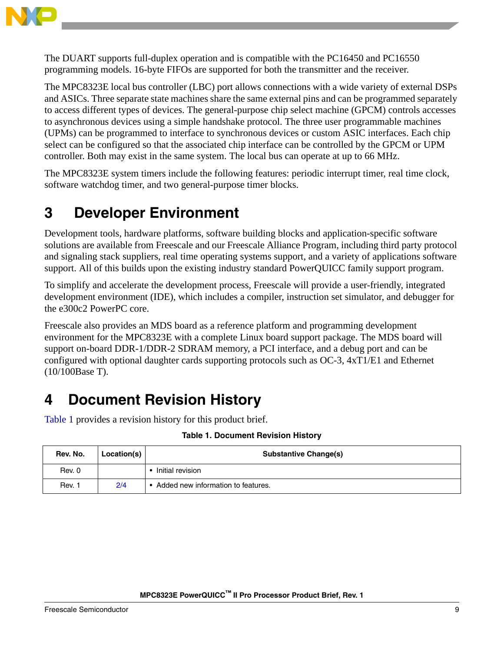

The DUART supports full-duplex operation and is compatible with the PC16450 and PC16550 programming models. 16-byte FIFOs are supported for both the transmitter and the receiver.

The MPC8323E local bus controller (LBC) port allows connections with a wide variety of external DSPs and ASICs. Three separate state mac[hines](#page-2-0) share the [sam](#page-1-1)e external pins and can be pro[gramme](#page-2-1)d separately to access different types of devices. The general-purpose [chip se](#page-1-2)lect machine (GPCM) controls accesses to asynchronous devices using a simple handshake protocol. The three user programmable machines (UPMs) can be programmed to interface to synchronous devices or custom ASIC interfaces. Each chip select can be configured so that the associated chip interface can be controlled by the GPCM or UPM controller. Both may exist in the same system. The local bus can operate at up to 66 MHz.

The MPC8323E system timers include the following features: periodic interrupt timer, real time clock, software watchdog timer, and two general-purpose timer blocks.

## <span id="page-8-0"></span>**3 Developer Environment**

Development tools, hardware platforms, software building blocks and application-specific software solutions are available from Freescale and our Freescale Alliance Program, including third party protocol and signaling stack suppliers, real time operating systems support, and a variety of applications software support. All of this builds upon the existing industry standard PowerQUICC family support program.

To simplify and accelerate the development process, Freescale will provide a user-friendly, integrated development environment (IDE), which includes a compiler, instruction set simulator, and debugger for the e300c2 PowerPC core.

Freescale also provides an MDS board as a reference platform and programming development environment for the MPC8323E with a complete Linux board support package. The MDS board will support on-board DDR-1/DDR-2 SDRAM memory, a PCI interface, and a debug port and can be configured with optional daughter cards supporting protocols such as OC-3, 4xT1/E1 and Ethernet (10/100Base T).

## <span id="page-8-1"></span>**4 Document Revision History**

<span id="page-8-2"></span>[Table 1](#page-8-2) provides a revision history for this product brief.

| Rev. No. | Location(s) | <b>Substantive Change(s)</b>       |
|----------|-------------|------------------------------------|
| Rev. 0   |             | Initial revision                   |
| Rev. 1   | 2/4         | Added new information to features. |

#### **Table 1. Document Revision History**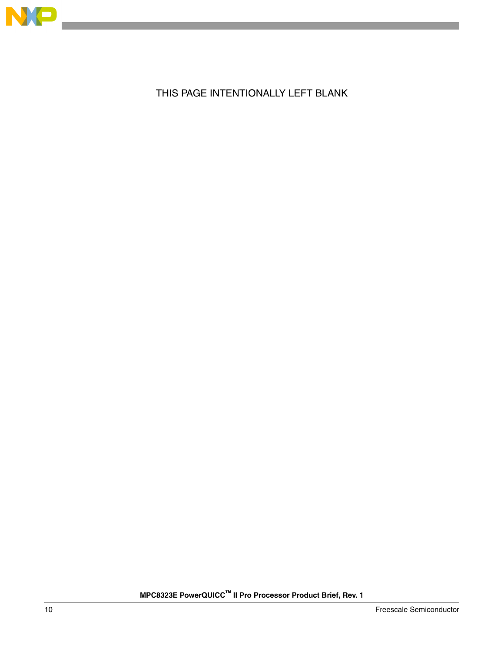

THIS PAGE INTENTIONALLY LEFT BLANK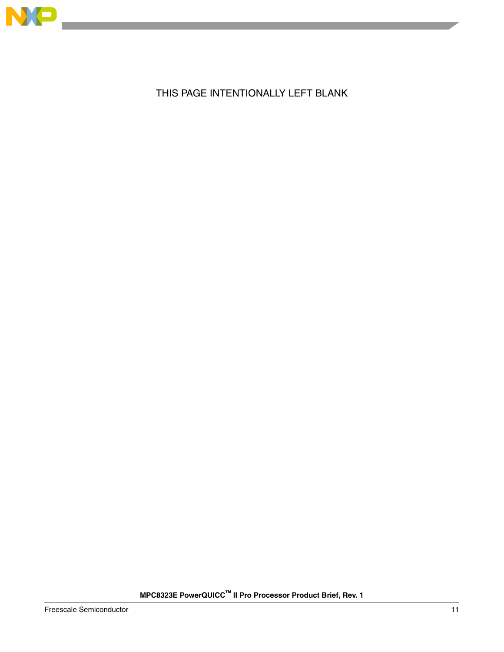

THIS PAGE INTENTIONALLY LEFT BLANK